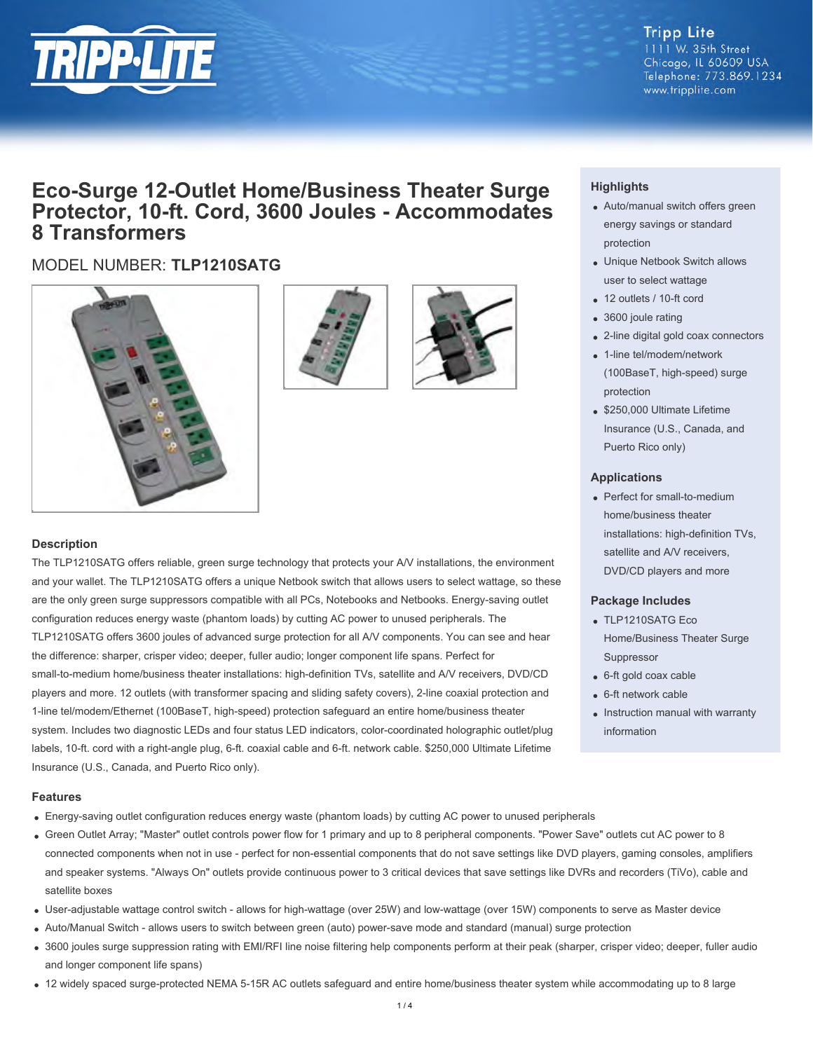

#### **Tripp Lite** 1111 W. 35th Street Chicago, IL 60609 USA Telephone: 773.869.1234 www.tripplite.com

## **Eco-Surge 12-Outlet Home/Business Theater Surge Protector, 10-ft. Cord, 3600 Joules - Accommodates 8 Transformers**

### MODEL NUMBER: **TLP1210SATG**







#### **Description**

The TLP1210SATG offers reliable, green surge technology that protects your A/V installations, the environment and your wallet. The TLP1210SATG offers a unique Netbook switch that allows users to select wattage, so these are the only green surge suppressors compatible with all PCs, Notebooks and Netbooks. Energy-saving outlet configuration reduces energy waste (phantom loads) by cutting AC power to unused peripherals. The TLP1210SATG offers 3600 joules of advanced surge protection for all A/V components. You can see and hear the difference: sharper, crisper video; deeper, fuller audio; longer component life spans. Perfect for small-to-medium home/business theater installations: high-definition TVs, satellite and A/V receivers, DVD/CD players and more. 12 outlets (with transformer spacing and sliding safety covers), 2-line coaxial protection and 1-line tel/modem/Ethernet (100BaseT, high-speed) protection safeguard an entire home/business theater system. Includes two diagnostic LEDs and four status LED indicators, color-coordinated holographic outlet/plug labels, 10-ft. cord with a right-angle plug, 6-ft. coaxial cable and 6-ft. network cable. \$250,000 Ultimate Lifetime Insurance (U.S., Canada, and Puerto Rico only).

#### **Highlights**

- Auto/manual switch offers green energy savings or standard protection
- Unique Netbook Switch allows user to select wattage
- 12 outlets / 10-ft cord
- 3600 joule rating
- 2-line digital gold coax connectors
- 1-line tel/modem/network (100BaseT, high-speed) surge protection
- \$250,000 Ultimate Lifetime Insurance (U.S., Canada, and Puerto Rico only)

#### **Applications**

Perfect for small-to-medium home/business theater installations: high-definition TVs, satellite and A/V receivers, DVD/CD players and more

#### **Package Includes**

- TLP1210SATG Eco Home/Business Theater Surge Suppressor
- 6-ft gold coax cable
- 6-ft network cable
- Instruction manual with warranty information

#### **Features**

- Energy-saving outlet configuration reduces energy waste (phantom loads) by cutting AC power to unused peripherals
- Green Outlet Array; "Master" outlet controls power flow for 1 primary and up to 8 peripheral components. "Power Save" outlets cut AC power to 8 connected components when not in use - perfect for non-essential components that do not save settings like DVD players, gaming consoles, amplifiers and speaker systems. "Always On" outlets provide continuous power to 3 critical devices that save settings like DVRs and recorders (TiVo), cable and satellite boxes
- User-adjustable wattage control switch allows for high-wattage (over 25W) and low-wattage (over 15W) components to serve as Master device
- Auto/Manual Switch allows users to switch between green (auto) power-save mode and standard (manual) surge protection
- 3600 joules surge suppression rating with EMI/RFI line noise filtering help components perform at their peak (sharper, crisper video; deeper, fuller audio and longer component life spans)
- 12 widely spaced surge-protected NEMA 5-15R AC outlets safeguard and entire home/business theater system while accommodating up to 8 large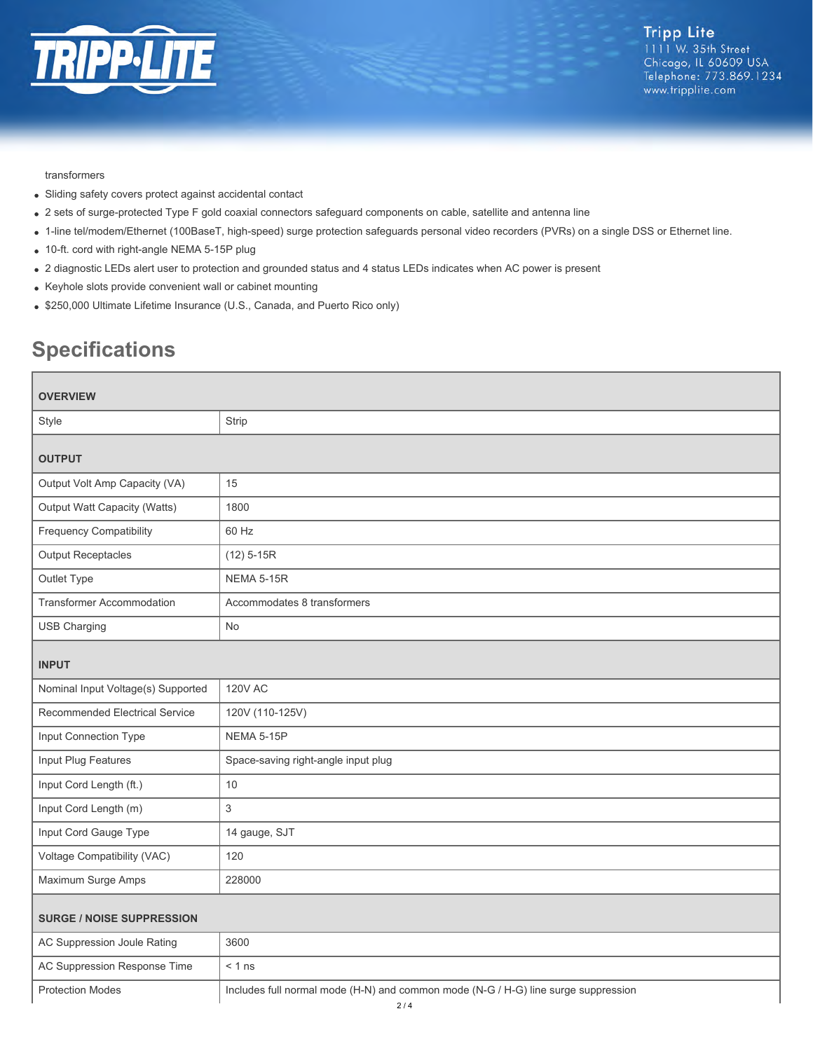

#### transformers

- Sliding safety covers protect against accidental contact
- 2 sets of surge-protected Type F gold coaxial connectors safeguard components on cable, satellite and antenna line
- 1-line tel/modem/Ethernet (100BaseT, high-speed) surge protection safeguards personal video recorders (PVRs) on a single DSS or Ethernet line.
- 10-ft. cord with right-angle NEMA 5-15P plug
- 2 diagnostic LEDs alert user to protection and grounded status and 4 status LEDs indicates when AC power is present
- Keyhole slots provide convenient wall or cabinet mounting
- \$250,000 Ultimate Lifetime Insurance (U.S., Canada, and Puerto Rico only)

# **Specifications**

| <b>OVERVIEW</b>                    |                                                                                    |  |
|------------------------------------|------------------------------------------------------------------------------------|--|
| Style                              | Strip                                                                              |  |
| <b>OUTPUT</b>                      |                                                                                    |  |
| Output Volt Amp Capacity (VA)      | 15                                                                                 |  |
| Output Watt Capacity (Watts)       | 1800                                                                               |  |
| <b>Frequency Compatibility</b>     | 60 Hz                                                                              |  |
| <b>Output Receptacles</b>          | $(12)$ 5-15R                                                                       |  |
| Outlet Type                        | <b>NEMA 5-15R</b>                                                                  |  |
| <b>Transformer Accommodation</b>   | Accommodates 8 transformers                                                        |  |
| <b>USB Charging</b>                | <b>No</b>                                                                          |  |
| <b>INPUT</b>                       |                                                                                    |  |
| Nominal Input Voltage(s) Supported | <b>120V AC</b>                                                                     |  |
| Recommended Electrical Service     | 120V (110-125V)                                                                    |  |
| Input Connection Type              | NEMA 5-15P                                                                         |  |
| Input Plug Features                | Space-saving right-angle input plug                                                |  |
| Input Cord Length (ft.)            | 10                                                                                 |  |
| Input Cord Length (m)              | 3                                                                                  |  |
| Input Cord Gauge Type              | 14 gauge, SJT                                                                      |  |
| Voltage Compatibility (VAC)        | 120                                                                                |  |
| Maximum Surge Amps                 | 228000                                                                             |  |
| <b>SURGE / NOISE SUPPRESSION</b>   |                                                                                    |  |
| AC Suppression Joule Rating        | 3600                                                                               |  |
| AC Suppression Response Time       | $< 1$ ns                                                                           |  |
| <b>Protection Modes</b>            | Includes full normal mode (H-N) and common mode (N-G / H-G) line surge suppression |  |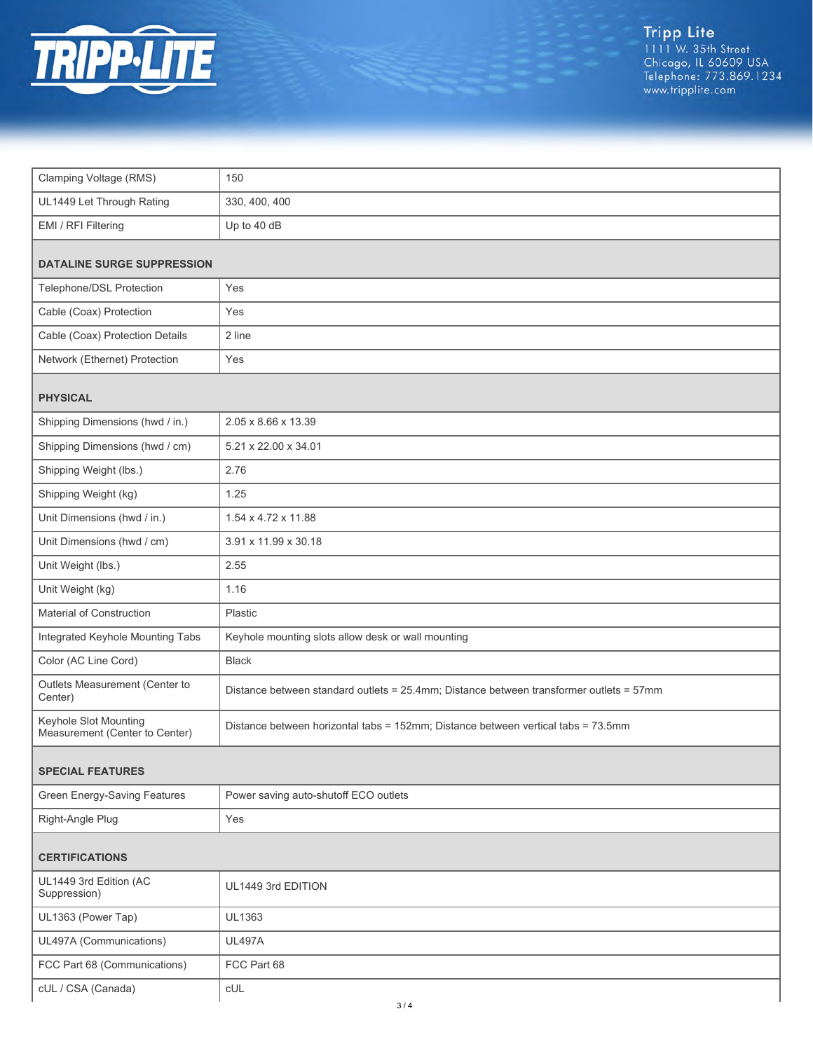

Tripp Lite<br>1111 W. 35th Street<br>Chicago, IL 60609 USA<br>Telephone: 773.869.1234<br>www.tripplite.com

| Clamping Voltage (RMS)                                  | 150                                                                                     |  |
|---------------------------------------------------------|-----------------------------------------------------------------------------------------|--|
| UL1449 Let Through Rating                               | 330, 400, 400                                                                           |  |
| EMI / RFI Filtering                                     | Up to 40 dB                                                                             |  |
| <b>DATALINE SURGE SUPPRESSION</b>                       |                                                                                         |  |
| Telephone/DSL Protection                                | Yes                                                                                     |  |
| Cable (Coax) Protection                                 | Yes                                                                                     |  |
| Cable (Coax) Protection Details                         | 2 line                                                                                  |  |
| Network (Ethernet) Protection                           | Yes                                                                                     |  |
|                                                         |                                                                                         |  |
| <b>PHYSICAL</b>                                         |                                                                                         |  |
| Shipping Dimensions (hwd / in.)                         | 2.05 x 8.66 x 13.39                                                                     |  |
| Shipping Dimensions (hwd / cm)                          | 5.21 x 22.00 x 34.01                                                                    |  |
| Shipping Weight (lbs.)                                  | 2.76                                                                                    |  |
| Shipping Weight (kg)                                    | 1.25                                                                                    |  |
| Unit Dimensions (hwd / in.)                             | 1.54 x 4.72 x 11.88                                                                     |  |
| Unit Dimensions (hwd / cm)                              | 3.91 x 11.99 x 30.18                                                                    |  |
| Unit Weight (lbs.)                                      | 2.55                                                                                    |  |
| Unit Weight (kg)                                        | 1.16                                                                                    |  |
| Material of Construction                                | Plastic                                                                                 |  |
| Integrated Keyhole Mounting Tabs                        | Keyhole mounting slots allow desk or wall mounting                                      |  |
| Color (AC Line Cord)                                    | <b>Black</b>                                                                            |  |
| Outlets Measurement (Center to<br>Center)               | Distance between standard outlets = 25.4mm; Distance between transformer outlets = 57mm |  |
| Keyhole Slot Mounting<br>Measurement (Center to Center) | Distance between horizontal tabs = 152mm; Distance between vertical tabs = 73.5mm       |  |
| <b>SPECIAL FEATURES</b>                                 |                                                                                         |  |
| Green Energy-Saving Features                            | Power saving auto-shutoff ECO outlets                                                   |  |
| Right-Angle Plug                                        | Yes                                                                                     |  |
| <b>CERTIFICATIONS</b>                                   |                                                                                         |  |
| UL1449 3rd Edition (AC<br>Suppression)                  | UL1449 3rd EDITION                                                                      |  |
| UL1363 (Power Tap)                                      | UL1363                                                                                  |  |
| UL497A (Communications)                                 | <b>UL497A</b>                                                                           |  |
| FCC Part 68 (Communications)                            | FCC Part 68                                                                             |  |
| cUL / CSA (Canada)                                      | CUL                                                                                     |  |